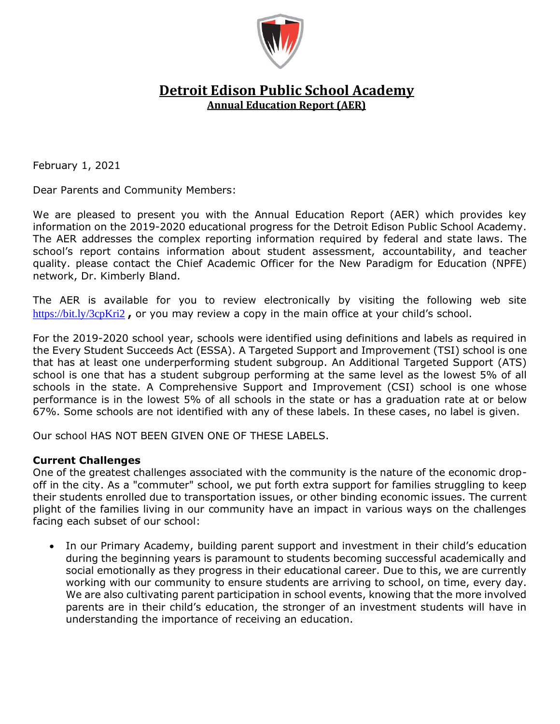

# **Detroit Edison Public School Academy Annual Education Report (AER)**

February 1, 2021

Dear Parents and Community Members:

We are pleased to present you with the Annual Education Report (AER) which provides key information on the 2019-2020 educational progress for the Detroit Edison Public School Academy. The AER addresses the complex reporting information required by federal and state laws. The school's report contains information about student assessment, accountability, and teacher quality. please contact the Chief Academic Officer for the New Paradigm for Education (NPFE) network, Dr. Kimberly Bland.

The AER is available for you to review electronically by visiting the following web site <https://bit.ly/3cpKri2> **,** or you may review a copy in the main office at your child's school.

For the 2019-2020 school year, schools were identified using definitions and labels as required in the Every Student Succeeds Act (ESSA). A Targeted Support and Improvement (TSI) school is one that has at least one underperforming student subgroup. An Additional Targeted Support (ATS) school is one that has a student subgroup performing at the same level as the lowest 5% of all schools in the state. A Comprehensive Support and Improvement (CSI) school is one whose performance is in the lowest 5% of all schools in the state or has a graduation rate at or below 67%. Some schools are not identified with any of these labels. In these cases, no label is given.

Our school HAS NOT BEEN GIVEN ONE OF THESE LABELS.

#### **Current Challenges**

One of the greatest challenges associated with the community is the nature of the economic dropoff in the city. As a "commuter" school, we put forth extra support for families struggling to keep their students enrolled due to transportation issues, or other binding economic issues. The current plight of the families living in our community have an impact in various ways on the challenges facing each subset of our school:

• In our Primary Academy, building parent support and investment in their child's education during the beginning years is paramount to students becoming successful academically and social emotionally as they progress in their educational career. Due to this, we are currently working with our community to ensure students are arriving to school, on time, every day. We are also cultivating parent participation in school events, knowing that the more involved parents are in their child's education, the stronger of an investment students will have in understanding the importance of receiving an education.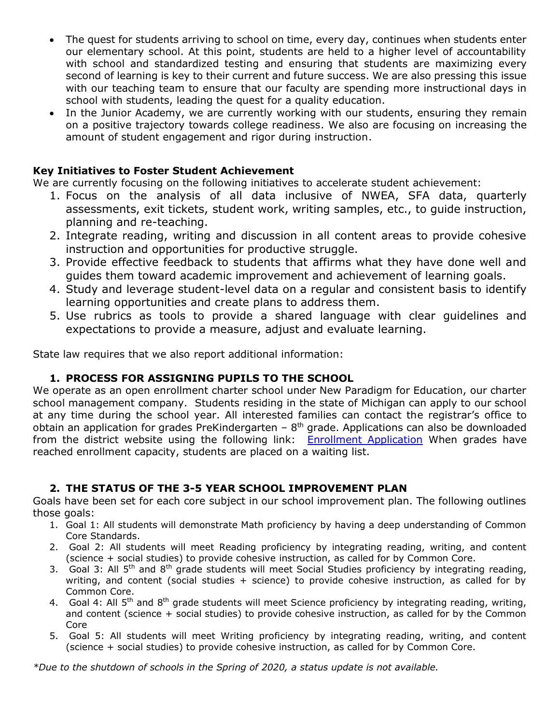- The quest for students arriving to school on time, every day, continues when students enter our elementary school. At this point, students are held to a higher level of accountability with school and standardized testing and ensuring that students are maximizing every second of learning is key to their current and future success. We are also pressing this issue with our teaching team to ensure that our faculty are spending more instructional days in school with students, leading the quest for a quality education.
- In the Junior Academy, we are currently working with our students, ensuring they remain on a positive trajectory towards college readiness. We also are focusing on increasing the amount of student engagement and rigor during instruction.

#### **Key Initiatives to Foster Student Achievement**

We are currently focusing on the following initiatives to accelerate student achievement:

- 1. Focus on the analysis of all data inclusive of NWEA, SFA data, quarterly assessments, exit tickets, student work, writing samples, etc., to guide instruction, planning and re-teaching.
- 2. Integrate reading, writing and discussion in all content areas to provide cohesive instruction and opportunities for productive struggle.
- 3. Provide effective feedback to students that affirms what they have done well and guides them toward academic improvement and achievement of learning goals.
- 4. Study and leverage student-level data on a regular and consistent basis to identify learning opportunities and create plans to address them.
- 5. Use rubrics as tools to provide a shared language with clear guidelines and expectations to provide a measure, adjust and evaluate learning.

State law requires that we also report additional information:

## **1. PROCESS FOR ASSIGNING PUPILS TO THE SCHOOL**

We operate as an open enrollment charter school under New Paradigm for Education, our charter school management company. Students residing in the state of Michigan can apply to our school at any time during the school year. All interested families can contact the registrar's office to obtain an application for grades PreKindergarten –  $8<sup>th</sup>$  grade. Applications can also be downloaded from the district website using the following link: [Enrollment Application](http://www.detroitedisonpsa.org/enroll) When grades have reached enrollment capacity, students are placed on a waiting list.

## **2. THE STATUS OF THE 3-5 YEAR SCHOOL IMPROVEMENT PLAN**

Goals have been set for each core subject in our school improvement plan. The following outlines those goals:

- 1. Goal 1: All students will demonstrate Math proficiency by having a deep understanding of Common Core Standards.
- 2. Goal 2: All students will meet Reading proficiency by integrating reading, writing, and content (science + social studies) to provide cohesive instruction, as called for by Common Core.
- 3. Goal 3: All  $5<sup>th</sup>$  and  $8<sup>th</sup>$  grade students will meet Social Studies proficiency by integrating reading, writing, and content (social studies + science) to provide cohesive instruction, as called for by Common Core.
- 4. Goal 4: All 5<sup>th</sup> and 8<sup>th</sup> grade students will meet Science proficiency by integrating reading, writing, and content (science + social studies) to provide cohesive instruction, as called for by the Common Core
- 5. Goal 5: All students will meet Writing proficiency by integrating reading, writing, and content (science + social studies) to provide cohesive instruction, as called for by Common Core.

*\*Due to the shutdown of schools in the Spring of 2020, a status update is not available.*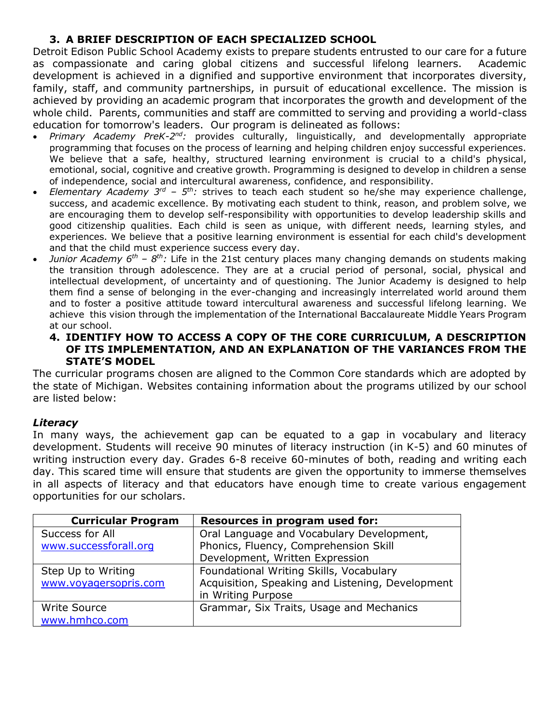# **3. A BRIEF DESCRIPTION OF EACH SPECIALIZED SCHOOL**

Detroit Edison Public School Academy exists to prepare students entrusted to our care for a future as compassionate and caring global citizens and successful lifelong learners. Academic development is achieved in a dignified and supportive environment that incorporates diversity, family, staff, and community partnerships, in pursuit of educational excellence. The mission is achieved by providing an academic program that incorporates the growth and development of the whole child. Parents, communities and staff are committed to serving and providing a world-class education for tomorrow's leaders. Our program is delineated as follows:

- *Primary Academy PreK-2<sup>nd</sup>:* provides culturally, linguistically, and developmentally appropriate programming that focuses on the process of learning and helping children enjoy successful experiences. We believe that a safe, healthy, structured learning environment is crucial to a child's physical, emotional, social, cognitive and creative growth. Programming is designed to develop in children a sense of independence, social and intercultural awareness, confidence, and responsibility.
- *Elementary Academy 3<sup>rd</sup> 5<sup>th</sup>:* strives to teach each student so he/she may experience challenge, success, and academic excellence. By motivating each student to think, reason, and problem solve, we are encouraging them to develop self-responsibility with opportunities to develop leadership skills and good citizenship qualities. Each child is seen as unique, with different needs, learning styles, and experiences. We believe that a positive learning environment is essential for each child's development and that the child must experience success every day.
- *Junior Academy 6<sup>th</sup> 8<sup>th</sup>: Life in the 21st century places many changing demands on students making* the transition through adolescence. They are at a crucial period of personal, social, physical and intellectual development, of uncertainty and of questioning. The Junior Academy is designed to help them find a sense of belonging in the ever-changing and increasingly interrelated world around them and to foster a positive attitude toward intercultural awareness and successful lifelong learning. We achieve this vision through the implementation of the International Baccalaureate Middle Years Program at our school.

#### **4. IDENTIFY HOW TO ACCESS A COPY OF THE CORE CURRICULUM, A DESCRIPTION OF ITS IMPLEMENTATION, AND AN EXPLANATION OF THE VARIANCES FROM THE STATE'S MODEL**

The curricular programs chosen are aligned to the Common Core standards which are adopted by the state of Michigan. Websites containing information about the programs utilized by our school are listed below:

## *Literacy*

In many ways, the achievement gap can be equated to a gap in vocabulary and literacy development. Students will receive 90 minutes of literacy instruction (in K-5) and 60 minutes of writing instruction every day. Grades 6-8 receive 60-minutes of both, reading and writing each day. This scared time will ensure that students are given the opportunity to immerse themselves in all aspects of literacy and that educators have enough time to create various engagement opportunities for our scholars.

| <b>Curricular Program</b> | Resources in program used for:                   |
|---------------------------|--------------------------------------------------|
| Success for All           | Oral Language and Vocabulary Development,        |
| www.successforall.org     | Phonics, Fluency, Comprehension Skill            |
|                           | Development, Written Expression                  |
| Step Up to Writing        | Foundational Writing Skills, Vocabulary          |
| www.voyagersopris.com     | Acquisition, Speaking and Listening, Development |
|                           | in Writing Purpose                               |
| Write Source              | Grammar, Six Traits, Usage and Mechanics         |
| www.hmhco.com             |                                                  |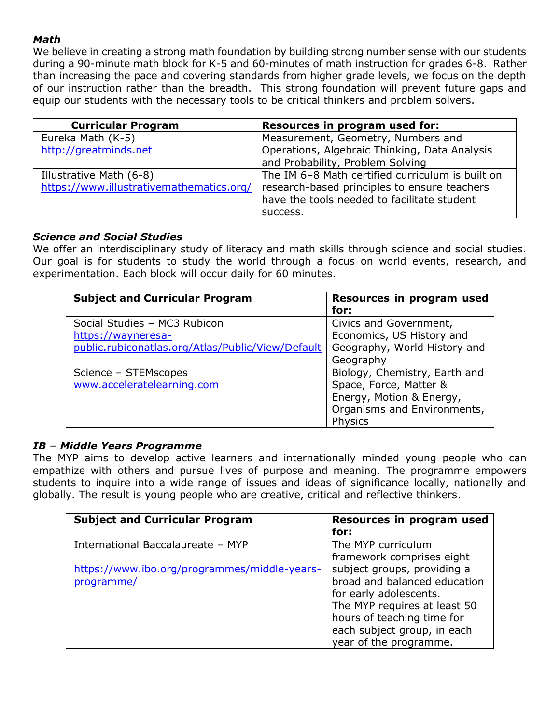# *Math*

We believe in creating a strong math foundation by building strong number sense with our students during a 90-minute math block for K-5 and 60-minutes of math instruction for grades 6-8. Rather than increasing the pace and covering standards from higher grade levels, we focus on the depth of our instruction rather than the breadth. This strong foundation will prevent future gaps and equip our students with the necessary tools to be critical thinkers and problem solvers.

| <b>Curricular Program</b>                | Resources in program used for:                                                              |
|------------------------------------------|---------------------------------------------------------------------------------------------|
| Eureka Math (K-5)                        | Measurement, Geometry, Numbers and                                                          |
| http://greatminds.net                    | Operations, Algebraic Thinking, Data Analysis                                               |
|                                          | and Probability, Problem Solving                                                            |
| Illustrative Math (6-8)                  | The IM 6-8 Math certified curriculum is built on                                            |
| https://www.illustrativemathematics.org/ | research-based principles to ensure teachers<br>have the tools needed to facilitate student |
|                                          | success.                                                                                    |

# *Science and Social Studies*

We offer an interdisciplinary study of literacy and math skills through science and social studies. Our goal is for students to study the world through a focus on world events, research, and experimentation. Each block will occur daily for 60 minutes.

| <b>Subject and Curricular Program</b>             | Resources in program used<br>for: |
|---------------------------------------------------|-----------------------------------|
| Social Studies - MC3 Rubicon                      | Civics and Government,            |
| https://wayneresa-                                | Economics, US History and         |
| public.rubiconatlas.org/Atlas/Public/View/Default | Geography, World History and      |
|                                                   | Geography                         |
| Science - STEMscopes                              | Biology, Chemistry, Earth and     |
| www.acceleratelearning.com                        | Space, Force, Matter &            |
|                                                   | Energy, Motion & Energy,          |
|                                                   | Organisms and Environments,       |
|                                                   | <b>Physics</b>                    |

# *IB – Middle Years Programme*

The MYP aims to develop active learners and internationally minded young people who can empathize with others and pursue lives of purpose and meaning. The programme empowers students to inquire into a wide range of issues and ideas of significance locally, nationally and globally. The result is young people who are creative, critical and reflective thinkers.

| <b>Subject and Curricular Program</b>        | Resources in program used<br>for: |
|----------------------------------------------|-----------------------------------|
| International Baccalaureate - MYP            | The MYP curriculum                |
|                                              | framework comprises eight         |
| https://www.ibo.org/programmes/middle-years- | subject groups, providing a       |
| programme/                                   | broad and balanced education      |
|                                              | for early adolescents.            |
|                                              | The MYP requires at least 50      |
|                                              | hours of teaching time for        |
|                                              | each subject group, in each       |
|                                              | year of the programme.            |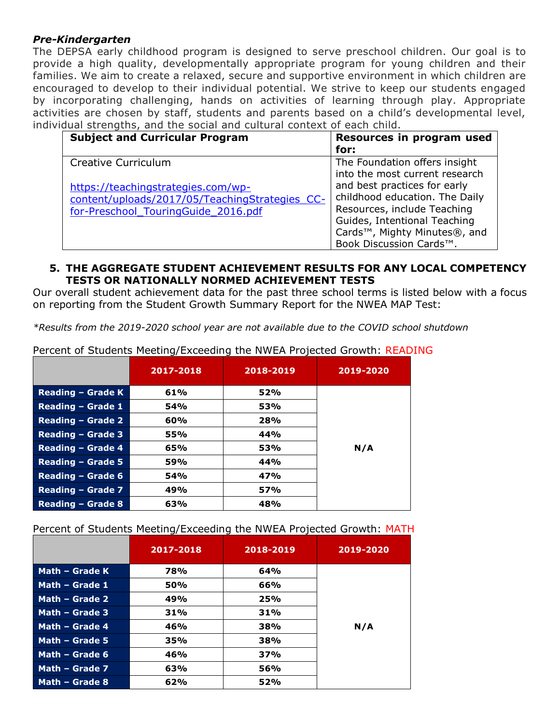#### *Pre-Kindergarten*

The DEPSA early childhood program is designed to serve preschool children. Our goal is to provide a high quality, developmentally appropriate program for young children and their families. We aim to create a relaxed, secure and supportive environment in which children are encouraged to develop to their individual potential. We strive to keep our students engaged by incorporating challenging, hands on activities of learning through play. Appropriate activities are chosen by staff, students and parents based on a child's developmental level, individual strengths, and the social and cultural context of each child.

| <b>Subject and Curricular Program</b>                                                                                       | Resources in program used<br>for:                                                                                                                                                                                                       |
|-----------------------------------------------------------------------------------------------------------------------------|-----------------------------------------------------------------------------------------------------------------------------------------------------------------------------------------------------------------------------------------|
| Creative Curriculum                                                                                                         | The Foundation offers insight                                                                                                                                                                                                           |
| https://teachingstrategies.com/wp-<br>content/uploads/2017/05/TeachingStrategies CC-<br>for-Preschool TouringGuide 2016.pdf | into the most current research<br>and best practices for early<br>childhood education. The Daily<br>Resources, include Teaching<br>Guides, Intentional Teaching<br>Cards <sup>™</sup> , Mighty Minutes®, and<br>Book Discussion Cards™. |

#### **5. THE AGGREGATE STUDENT ACHIEVEMENT RESULTS FOR ANY LOCAL COMPETENCY TESTS OR NATIONALLY NORMED ACHIEVEMENT TESTS**

Our overall student achievement data for the past three school terms is listed below with a focus on reporting from the Student Growth Summary Report for the NWEA MAP Test:

*\*Results from the 2019-2020 school year are not available due to the COVID school shutdown*

|                          | 2017-2018  | 2018-2019 | 2019-2020 |
|--------------------------|------------|-----------|-----------|
| Reading – Grade K        | 61%        | 52%       |           |
| Reading - Grade 1        | <b>54%</b> | 53%       |           |
| <b>Reading - Grade 2</b> | 60%        | 28%       |           |
| Reading - Grade 3        | 55%        | 44%       |           |
| Reading - Grade 4        | 65%        | 53%       | N/A       |
| Reading $-$ Grade 5      | <b>59%</b> | 44%       |           |
| Reading - Grade 6        | <b>54%</b> | 47%       |           |
| Reading - Grade 7        | 49%        | 57%       |           |
| <b>Reading - Grade 8</b> | 63%        | 48%       |           |

Percent of Students Meeting/Exceeding the NWEA Projected Growth: READING

Percent of Students Meeting/Exceeding the NWEA Projected Growth: MATH

|                | 2017-2018  | 2018-2019 | 2019-2020 |
|----------------|------------|-----------|-----------|
| Math - Grade K | 78%        | 64%       |           |
| Math - Grade 1 | <b>50%</b> | 66%       |           |
| Math - Grade 2 | 49%        | 25%       |           |
| Math - Grade 3 | 31%        | 31%       |           |
| Math - Grade 4 | 46%        | 38%       | N/A       |
| Math - Grade 5 | 35%        | 38%       |           |
| Math – Grade 6 | 46%        | 37%       |           |
| Math - Grade 7 | 63%        | 56%       |           |
| Math - Grade 8 | 62%        | 52%       |           |